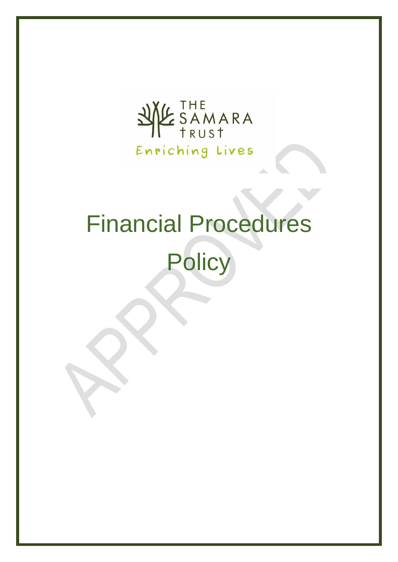

# Financial Procedures

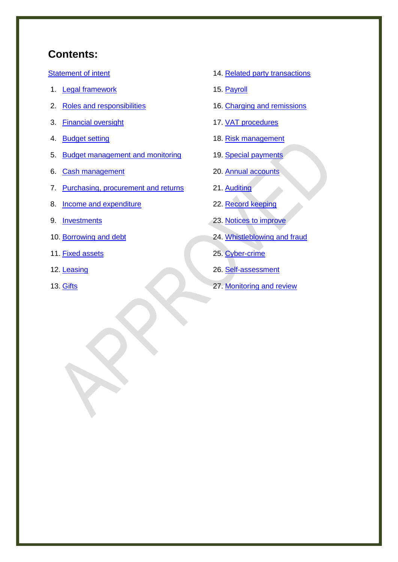# **Contents:**

[Statement of intent](#page-1-0)

- 1. [Legal framework](#page-3-0)
- 2. [Roles and responsibilities](#page-3-1)
- 3. [Financial oversight](#page-6-0)
- 4. [Budget setting](#page-6-1)
- 5. [Budget management and monitoring](#page-7-0)
- 6. [Cash management](#page-8-0)
- 7. [Purchasing, procurement and returns](#page-9-0)
- 8. [Income and expenditure](#page-9-1)
- 9. [Investments](#page-10-0)
- 10. [Borrowing and debt](#page-11-0)
- 11. [Fixed assets](#page-11-1)
- 12. [Leasing](#page-13-0)
- <span id="page-1-0"></span>13. [Gifts](#page-13-1)
- 14. [Related party transactions](#page-13-2)
- 15. [Payroll](#page-17-0)
- 16. [Charging and remissions](#page-19-0)
- 17. [VAT procedures](#page-19-1)
- 18. [Risk management](#page-20-0)
- 19. [Special payments](#page-20-1)
- 20. [Annual accounts](#page-21-0)
- 21. [Auditing](#page-21-1)
- 22. [Record keeping](#page-23-0)
- 23. [Notices to improve](#page-24-0)
- 24. [Whistleblowing and fraud](#page-25-0)
- 25. [Cyber-crime](#page-25-1)
- 26. [Self-assessment](#page-25-2)
- 27. [Monitoring and review](#page-26-0)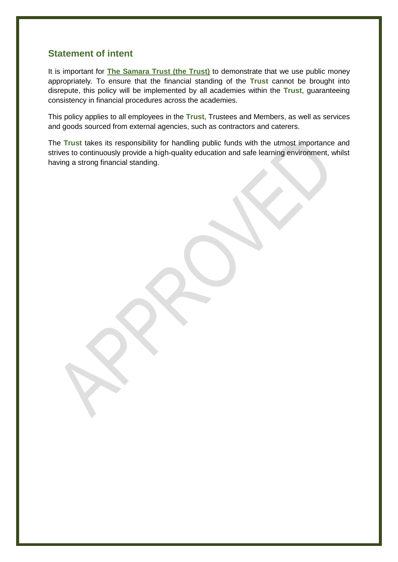## **Statement of intent**

It is important for **The Samara Trust (the Trust)** to demonstrate that we use public money appropriately. To ensure that the financial standing of the **Trust** cannot be brought into disrepute, this policy will be implemented by all academies within the **Trust**, guaranteeing consistency in financial procedures across the academies.

This policy applies to all employees in the **Trust**, Trustees and Members, as well as services and goods sourced from external agencies, such as contractors and caterers.

The **Trust** takes its responsibility for handling public funds with the utmost importance and strives to continuously provide a high-quality education and safe learning environment, whilst having a strong financial standing.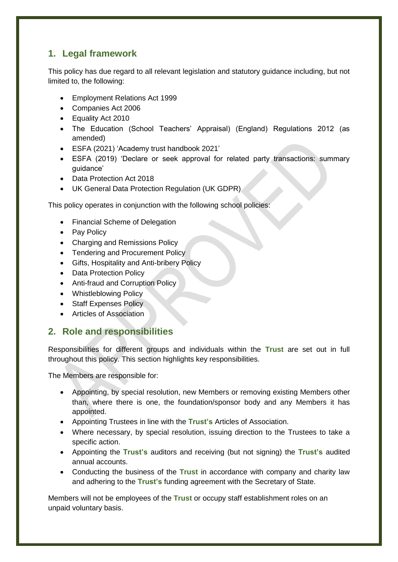# <span id="page-3-0"></span>**1. Legal framework**

This policy has due regard to all relevant legislation and statutory guidance including, but not limited to, the following:

- Employment Relations Act 1999
- Companies Act 2006
- Equality Act 2010
- The Education (School Teachers' Appraisal) (England) Regulations 2012 (as amended)
- ESFA (2021) 'Academy trust handbook 2021'
- ESFA (2019) 'Declare or seek approval for related party transactions: summary guidance'
- Data Protection Act 2018
- UK General Data Protection Regulation (UK GDPR)

This policy operates in conjunction with the following school policies:

- Financial Scheme of Delegation
- Pay Policy
- Charging and Remissions Policy
- Tendering and Procurement Policy
- Gifts, Hospitality and Anti-bribery Policy
- Data Protection Policy
- Anti-fraud and Corruption Policy
- Whistleblowing Policy
- Staff Expenses Policy
- Articles of Association

# <span id="page-3-1"></span>**2. Role and responsibilities**

Responsibilities for different groups and individuals within the **Trust** are set out in full throughout this policy. This section highlights key responsibilities.

The Members are responsible for:

- Appointing, by special resolution, new Members or removing existing Members other than, where there is one, the foundation/sponsor body and any Members it has appointed.
- Appointing Trustees in line with the **Trust's** Articles of Association.
- Where necessary, by special resolution, issuing direction to the Trustees to take a specific action.
- Appointing the **Trust's** auditors and receiving (but not signing) the **Trust's** audited annual accounts.
- Conducting the business of the **Trust** in accordance with company and charity law and adhering to the **Trust's** funding agreement with the Secretary of State.

Members will not be employees of the **Trust** or occupy staff establishment roles on an unpaid voluntary basis.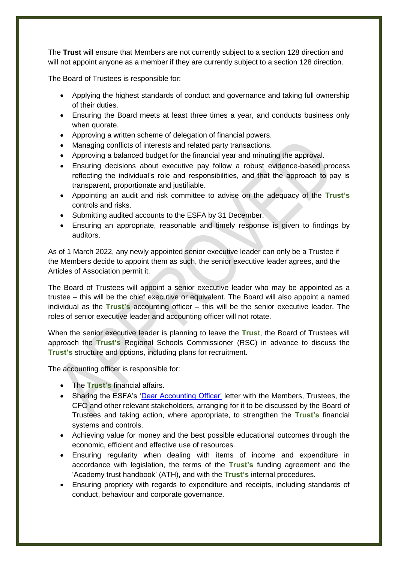The **Trust** will ensure that Members are not currently subject to a section 128 direction and will not appoint anyone as a member if they are currently subject to a section 128 direction.

The Board of Trustees is responsible for:

- Applying the highest standards of conduct and governance and taking full ownership of their duties.
- Ensuring the Board meets at least three times a year, and conducts business only when quorate.
- Approving a written scheme of delegation of financial powers.
- Managing conflicts of interests and related party transactions.
- Approving a balanced budget for the financial year and minuting the approval.
- Ensuring decisions about executive pay follow a robust evidence-based process reflecting the individual's role and responsibilities, and that the approach to pay is transparent, proportionate and justifiable.
- Appointing an audit and risk committee to advise on the adequacy of the **Trust's** controls and risks.
- Submitting audited accounts to the ESFA by 31 December.
- Ensuring an appropriate, reasonable and timely response is given to findings by auditors.

As of 1 March 2022, any newly appointed senior executive leader can only be a Trustee if the Members decide to appoint them as such, the senior executive leader agrees, and the Articles of Association permit it.

The Board of Trustees will appoint a senior executive leader who may be appointed as a trustee – this will be the chief executive or equivalent. The Board will also appoint a named individual as the **Trust's** accounting officer – this will be the senior executive leader. The roles of senior executive leader and accounting officer will not rotate.

When the senior executive leader is planning to leave the **Trust**, the Board of Trustees will approach the **Trust's** Regional Schools Commissioner (RSC) in advance to discuss the **Trust's** structure and options, including plans for recruitment.

The accounting officer is responsible for:

- The **Trust's** financial affairs.
- Sharing the ESFA's ['Dear Accounting Officer'](https://www.gov.uk/government/collections/academy-trust-accounting-officer-letters-from-efa) letter with the Members, Trustees, the CFO and other relevant stakeholders, arranging for it to be discussed by the Board of Trustees and taking action, where appropriate, to strengthen the **Trust's** financial systems and controls.
- Achieving value for money and the best possible educational outcomes through the economic, efficient and effective use of resources.
- Ensuring regularity when dealing with items of income and expenditure in accordance with legislation, the terms of the **Trust's** funding agreement and the 'Academy trust handbook' (ATH), and with the **Trust's** internal procedures.
- Ensuring propriety with regards to expenditure and receipts, including standards of conduct, behaviour and corporate governance.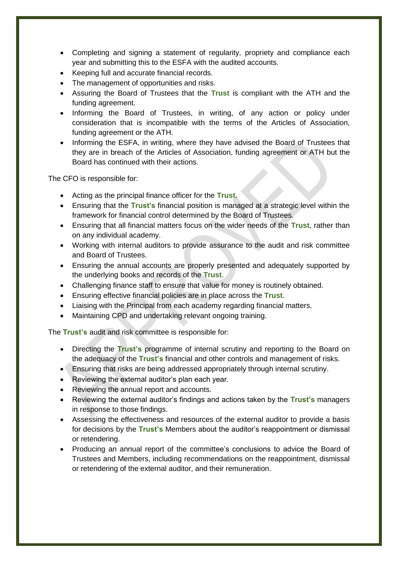- Completing and signing a statement of regularity, propriety and compliance each year and submitting this to the ESFA with the audited accounts.
- Keeping full and accurate financial records.
- The management of opportunities and risks.
- Assuring the Board of Trustees that the **Trust** is compliant with the ATH and the funding agreement.
- Informing the Board of Trustees, in writing, of any action or policy under consideration that is incompatible with the terms of the Articles of Association, funding agreement or the ATH.
- Informing the ESFA, in writing, where they have advised the Board of Trustees that they are in breach of the Articles of Association, funding agreement or ATH but the Board has continued with their actions.

The CFO is responsible for:

- Acting as the principal finance officer for the **Trust**.
- Ensuring that the **Trust's** financial position is managed at a strategic level within the framework for financial control determined by the Board of Trustees.
- Ensuring that all financial matters focus on the wider needs of the **Trust**, rather than on any individual academy.
- Working with internal auditors to provide assurance to the audit and risk committee and Board of Trustees.
- Ensuring the annual accounts are properly presented and adequately supported by the underlying books and records of the **Trust**.
- Challenging finance staff to ensure that value for money is routinely obtained.
- Ensuring effective financial policies are in place across the **Trust**.
- Liaising with the Principal from each academy regarding financial matters.
- Maintaining CPD and undertaking relevant ongoing training.

The **Trust's** audit and risk committee is responsible for:

- Directing the **Trust's** programme of internal scrutiny and reporting to the Board on the adequacy of the **Trust's** financial and other controls and management of risks.
- Ensuring that risks are being addressed appropriately through internal scrutiny.
- Reviewing the external auditor's plan each year.
- Reviewing the annual report and accounts.
- Reviewing the external auditor's findings and actions taken by the **Trust's** managers in response to those findings.
- Assessing the effectiveness and resources of the external auditor to provide a basis for decisions by the **Trust's** Members about the auditor's reappointment or dismissal or retendering.
- Producing an annual report of the committee's conclusions to advice the Board of Trustees and Members, including recommendations on the reappointment, dismissal or retendering of the external auditor, and their remuneration.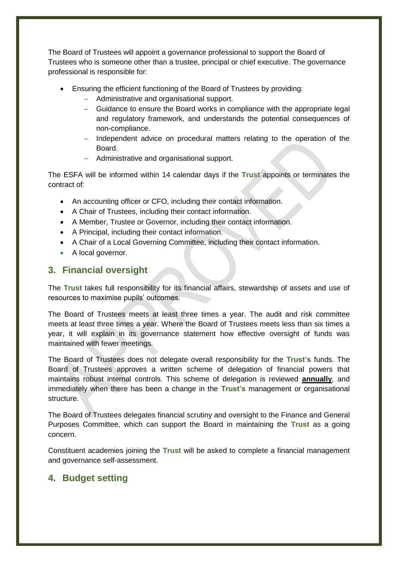The Board of Trustees will appoint a governance professional to support the Board of Trustees who is someone other than a trustee, principal or chief executive. The governance professional is responsible for:

- Ensuring the efficient functioning of the Board of Trustees by providing:
	- Administrative and organisational support.
	- Guidance to ensure the Board works in compliance with the appropriate legal and regulatory framework, and understands the potential consequences of non-compliance.
	- Independent advice on procedural matters relating to the operation of the Board.
	- Administrative and organisational support.

The ESFA will be informed within 14 calendar days if the **Trust** appoints or terminates the contract of:

- An accounting officer or CFO, including their contact information.
- A Chair of Trustees, including their contact information.
- A Member, Trustee or Governor, including their contact information.
- A Principal, including their contact information.
- A Chair of a Local Governing Committee, including their contact information.
- A local governor.

## <span id="page-6-0"></span>**3. Financial oversight**

The **Trust** takes full responsibility for its financial affairs, stewardship of assets and use of resources to maximise pupils' outcomes.

The Board of Trustees meets at least three times a year. The audit and risk committee meets at least three times a year. Where the Board of Trustees meets less than six times a year, it will explain in its governance statement how effective oversight of funds was maintained with fewer meetings.

The Board of Trustees does not delegate overall responsibility for the **Trust's** funds. The Board of Trustees approves a written scheme of delegation of financial powers that maintains robust internal controls. This scheme of delegation is reviewed **annually**, and immediately when there has been a change in the **Trust's** management or organisational structure.

The Board of Trustees delegates financial scrutiny and oversight to the Finance and General Purposes Committee, which can support the Board in maintaining the **Trust** as a going concern.

Constituent academies joining the **Trust** will be asked to complete a financial management and governance self-assessment.

## <span id="page-6-1"></span>**4. Budget setting**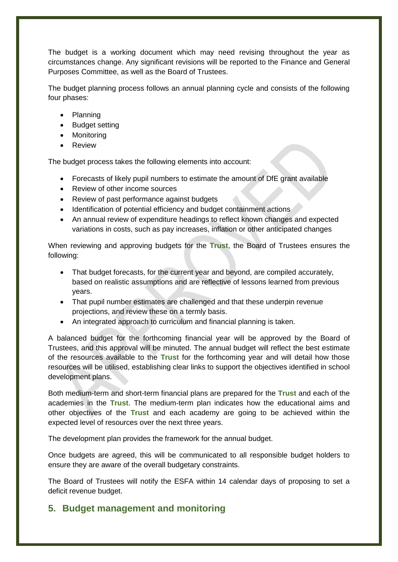The budget is a working document which may need revising throughout the year as circumstances change. Any significant revisions will be reported to the Finance and General Purposes Committee, as well as the Board of Trustees.

The budget planning process follows an annual planning cycle and consists of the following four phases:

- Planning
- Budget setting
- Monitoring
- Review

The budget process takes the following elements into account:

- Forecasts of likely pupil numbers to estimate the amount of DfE grant available
- Review of other income sources
- Review of past performance against budgets
- Identification of potential efficiency and budget containment actions
- An annual review of expenditure headings to reflect known changes and expected variations in costs, such as pay increases, inflation or other anticipated changes

When reviewing and approving budgets for the **Trust**, the Board of Trustees ensures the following:

- That budget forecasts, for the current year and beyond, are compiled accurately, based on realistic assumptions and are reflective of lessons learned from previous years.
- That pupil number estimates are challenged and that these underpin revenue projections, and review these on a termly basis.
- An integrated approach to curriculum and financial planning is taken.

A balanced budget for the forthcoming financial year will be approved by the Board of Trustees, and this approval will be minuted. The annual budget will reflect the best estimate of the resources available to the **Trust** for the forthcoming year and will detail how those resources will be utilised, establishing clear links to support the objectives identified in school development plans.

Both medium-term and short-term financial plans are prepared for the **Trust** and each of the academies in the **Trust**. The medium-term plan indicates how the educational aims and other objectives of the **Trust** and each academy are going to be achieved within the expected level of resources over the next three years.

The development plan provides the framework for the annual budget.

Once budgets are agreed, this will be communicated to all responsible budget holders to ensure they are aware of the overall budgetary constraints.

The Board of Trustees will notify the ESFA within 14 calendar days of proposing to set a deficit revenue budget.

# <span id="page-7-0"></span>**5. Budget management and monitoring**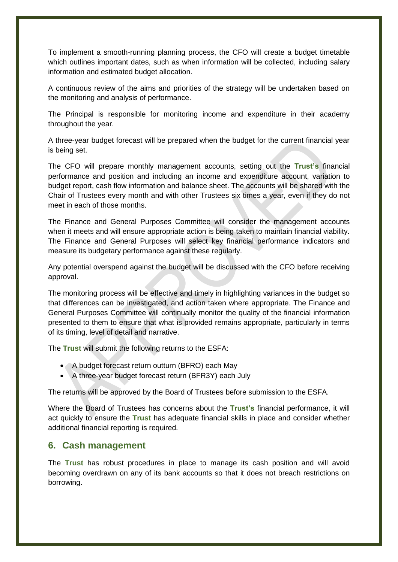To implement a smooth-running planning process, the CFO will create a budget timetable which outlines important dates, such as when information will be collected, including salary information and estimated budget allocation.

A continuous review of the aims and priorities of the strategy will be undertaken based on the monitoring and analysis of performance.

The Principal is responsible for monitoring income and expenditure in their academy throughout the year.

A three-year budget forecast will be prepared when the budget for the current financial year is being set.

The CFO will prepare monthly management accounts, setting out the **Trust's** financial performance and position and including an income and expenditure account, variation to budget report, cash flow information and balance sheet. The accounts will be shared with the Chair of Trustees every month and with other Trustees six times a year, even if they do not meet in each of those months.

The Finance and General Purposes Committee will consider the management accounts when it meets and will ensure appropriate action is being taken to maintain financial viability. The Finance and General Purposes will select key financial performance indicators and measure its budgetary performance against these regularly.

Any potential overspend against the budget will be discussed with the CFO before receiving approval.

The monitoring process will be effective and timely in highlighting variances in the budget so that differences can be investigated, and action taken where appropriate. The Finance and General Purposes Committee will continually monitor the quality of the financial information presented to them to ensure that what is provided remains appropriate, particularly in terms of its timing, level of detail and narrative.

The **Trust** will submit the following returns to the ESFA:

- A budget forecast return outturn (BFRO) each May
- A three-year budget forecast return (BFR3Y) each July

The returns will be approved by the Board of Trustees before submission to the ESFA.

Where the Board of Trustees has concerns about the **Trust's** financial performance, it will act quickly to ensure the **Trust** has adequate financial skills in place and consider whether additional financial reporting is required.

## <span id="page-8-0"></span>**6. Cash management**

The **Trust** has robust procedures in place to manage its cash position and will avoid becoming overdrawn on any of its bank accounts so that it does not breach restrictions on borrowing.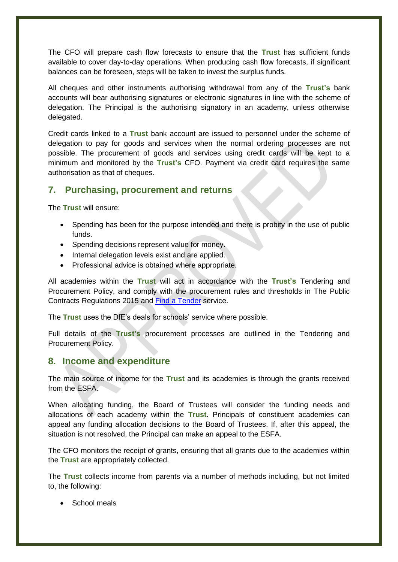The CFO will prepare cash flow forecasts to ensure that the **Trust** has sufficient funds available to cover day-to-day operations. When producing cash flow forecasts, if significant balances can be foreseen, steps will be taken to invest the surplus funds.

All cheques and other instruments authorising withdrawal from any of the **Trust's** bank accounts will bear authorising signatures or electronic signatures in line with the scheme of delegation. The Principal is the authorising signatory in an academy, unless otherwise delegated.

Credit cards linked to a **Trust** bank account are issued to personnel under the scheme of delegation to pay for goods and services when the normal ordering processes are not possible. The procurement of goods and services using credit cards will be kept to a minimum and monitored by the **Trust's** CFO. Payment via credit card requires the same authorisation as that of cheques.

## <span id="page-9-0"></span>**7. Purchasing, procurement and returns**

The **Trust** will ensure:

- Spending has been for the purpose intended and there is probity in the use of public funds.
- Spending decisions represent value for money.
- Internal delegation levels exist and are applied.
- Professional advice is obtained where appropriate.

All academies within the **Trust** will act in accordance with the **Trust's** Tendering and Procurement Policy, and comply with the procurement rules and thresholds in The Public Contracts Regulations 2015 and [Find a Tender](https://www.gov.uk/find-tender) service.

The **Trust** uses the DfE's deals for schools' service where possible.

Full details of the **Trust's** procurement processes are outlined in the Tendering and Procurement Policy.

## <span id="page-9-1"></span>**8. Income and expenditure**

The main source of income for the **Trust** and its academies is through the grants received from the ESFA.

When allocating funding, the Board of Trustees will consider the funding needs and allocations of each academy within the **Trust**. Principals of constituent academies can appeal any funding allocation decisions to the Board of Trustees. If, after this appeal, the situation is not resolved, the Principal can make an appeal to the ESFA.

The CFO monitors the receipt of grants, ensuring that all grants due to the academies within the **Trust** are appropriately collected.

The **Trust** collects income from parents via a number of methods including, but not limited to, the following:

School meals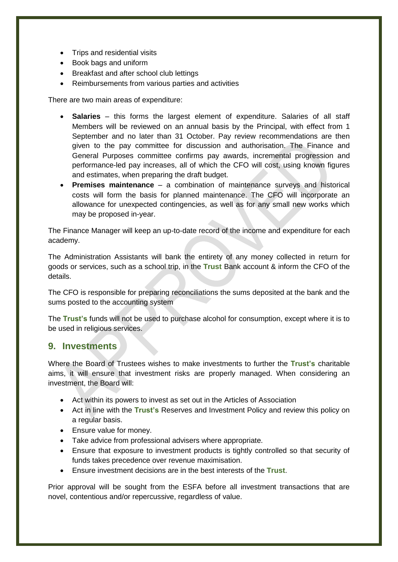- Trips and residential visits
- Book bags and uniform
- Breakfast and after school club lettings
- Reimbursements from various parties and activities

There are two main areas of expenditure:

- **Salaries** this forms the largest element of expenditure. Salaries of all staff Members will be reviewed on an annual basis by the Principal, with effect from 1 September and no later than 31 October. Pay review recommendations are then given to the pay committee for discussion and authorisation. The Finance and General Purposes committee confirms pay awards, incremental progression and performance-led pay increases, all of which the CFO will cost, using known figures and estimates, when preparing the draft budget.
- **Premises maintenance** a combination of maintenance surveys and historical costs will form the basis for planned maintenance. The CFO will incorporate an allowance for unexpected contingencies, as well as for any small new works which may be proposed in-year.

The Finance Manager will keep an up-to-date record of the income and expenditure for each academy.

The Administration Assistants will bank the entirety of any money collected in return for goods or services, such as a school trip, in the **Trust** Bank account & inform the CFO of the details.

The CFO is responsible for preparing reconciliations the sums deposited at the bank and the sums posted to the accounting system

The **Trust's** funds will not be used to purchase alcohol for consumption, except where it is to be used in religious services.

## <span id="page-10-0"></span>**9. Investments**

Where the Board of Trustees wishes to make investments to further the **Trust's** charitable aims, it will ensure that investment risks are properly managed. When considering an investment, the Board will:

- Act within its powers to invest as set out in the Articles of Association
- Act in line with the **Trust's** Reserves and Investment Policy and review this policy on a regular basis.
- Ensure value for money.
- Take advice from professional advisers where appropriate.
- Ensure that exposure to investment products is tightly controlled so that security of funds takes precedence over revenue maximisation.
- Ensure investment decisions are in the best interests of the **Trust**.

Prior approval will be sought from the ESFA before all investment transactions that are novel, contentious and/or repercussive, regardless of value.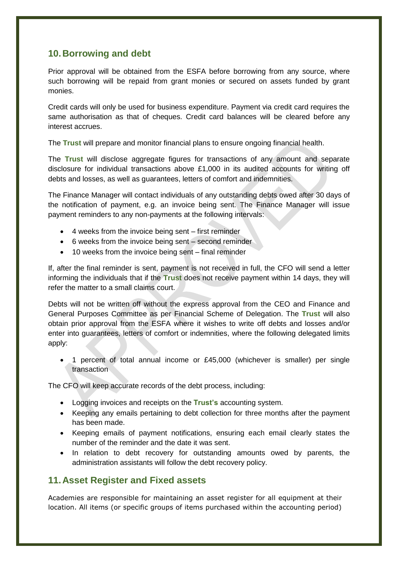## <span id="page-11-0"></span>**10.Borrowing and debt**

Prior approval will be obtained from the ESFA before borrowing from any source, where such borrowing will be repaid from grant monies or secured on assets funded by grant monies.

Credit cards will only be used for business expenditure. Payment via credit card requires the same authorisation as that of cheques. Credit card balances will be cleared before any interest accrues.

The **Trust** will prepare and monitor financial plans to ensure ongoing financial health.

The **Trust** will disclose aggregate figures for transactions of any amount and separate disclosure for individual transactions above £1,000 in its audited accounts for writing off debts and losses, as well as guarantees, letters of comfort and indemnities.

The Finance Manager will contact individuals of any outstanding debts owed after 30 days of the notification of payment, e.g. an invoice being sent. The Finance Manager will issue payment reminders to any non-payments at the following intervals:

- 4 weeks from the invoice being sent first reminder
- 6 weeks from the invoice being sent second reminder
- 10 weeks from the invoice being sent final reminder

If, after the final reminder is sent, payment is not received in full, the CFO will send a letter informing the individuals that if the **Trust** does not receive payment within 14 days, they will refer the matter to a small claims court.

Debts will not be written off without the express approval from the CEO and Finance and General Purposes Committee as per Financial Scheme of Delegation. The **Trust** will also obtain prior approval from the ESFA where it wishes to write off debts and losses and/or enter into guarantees, letters of comfort or indemnities, where the following delegated limits apply:

 1 percent of total annual income or £45,000 (whichever is smaller) per single transaction

The CFO will keep accurate records of the debt process, including:

- Logging invoices and receipts on the **Trust's** accounting system.
- Keeping any emails pertaining to debt collection for three months after the payment has been made.
- Keeping emails of payment notifications, ensuring each email clearly states the number of the reminder and the date it was sent.
- In relation to debt recovery for outstanding amounts owed by parents, the administration assistants will follow the debt recovery policy.

## <span id="page-11-1"></span>**11.Asset Register and Fixed assets**

Academies are responsible for maintaining an asset register for all equipment at their location. All items (or specific groups of items purchased within the accounting period)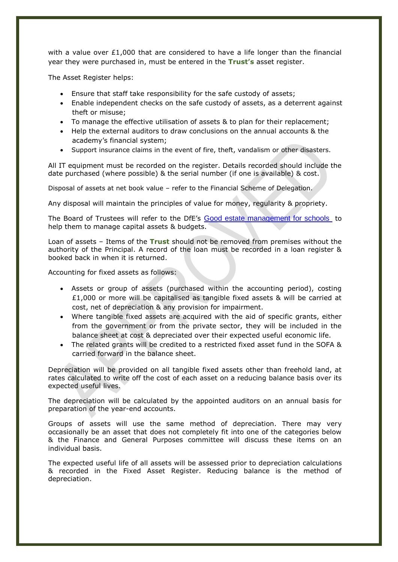with a value over  $£1,000$  that are considered to have a life longer than the financial year they were purchased in, must be entered in the **Trust's** asset register.

The Asset Register helps:

- Ensure that staff take responsibility for the safe custody of assets;
- Enable independent checks on the safe custody of assets, as a deterrent against theft or misuse;
- To manage the effective utilisation of assets & to plan for their replacement;
- Help the external auditors to draw conclusions on the annual accounts & the academy's financial system;
- Support insurance claims in the event of fire, theft, vandalism or other disasters.

All IT equipment must be recorded on the register. Details recorded should include the date purchased (where possible) & the serial number (if one is available) & cost.

Disposal of assets at net book value – refer to the Financial Scheme of Delegation.

Any disposal will maintain the principles of value for money, regularity & propriety.

The Board of Trustees will refer to the DfE's [Good estate management for schools](https://www.gov.uk/guidance/good-estate-management-for-schools) to help them to manage capital assets & budgets.

Loan of assets – Items of the **Trust** should not be removed from premises without the authority of the Principal. A record of the loan must be recorded in a loan register & booked back in when it is returned.

Accounting for fixed assets as follows:

- Assets or group of assets (purchased within the accounting period), costing £1,000 or more will be capitalised as tangible fixed assets & will be carried at cost, net of depreciation & any provision for impairment.
- Where tangible fixed assets are acquired with the aid of specific grants, either from the government or from the private sector, they will be included in the balance sheet at cost & depreciated over their expected useful economic life.
- The related grants will be credited to a restricted fixed asset fund in the SOFA & carried forward in the balance sheet.

Depreciation will be provided on all tangible fixed assets other than freehold land, at rates calculated to write off the cost of each asset on a reducing balance basis over its expected useful lives.

The depreciation will be calculated by the appointed auditors on an annual basis for preparation of the year-end accounts.

Groups of assets will use the same method of depreciation. There may very occasionally be an asset that does not completely fit into one of the categories below & the Finance and General Purposes committee will discuss these items on an individual basis.

The expected useful life of all assets will be assessed prior to depreciation calculations & recorded in the Fixed Asset Register. Reducing balance is the method of depreciation.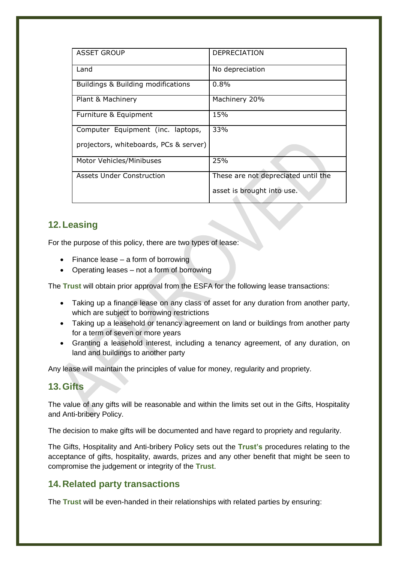| <b>ASSET GROUP</b>                     | DEPRECIATION                        |
|----------------------------------------|-------------------------------------|
| Land                                   | No depreciation                     |
| Buildings & Building modifications     | 0.8%                                |
| Plant & Machinery                      | Machinery 20%                       |
| Furniture & Equipment                  | 15%                                 |
| Computer Equipment (inc. laptops,      | 33%                                 |
| projectors, whiteboards, PCs & server) |                                     |
| Motor Vehicles/Minibuses               | 25%                                 |
| <b>Assets Under Construction</b>       | These are not depreciated until the |
|                                        | asset is brought into use.          |

# <span id="page-13-0"></span>**12.Leasing**

For the purpose of this policy, there are two types of lease:

- $\bullet$  Finance lease a form of borrowing
- Operating leases not a form of borrowing

The **Trust** will obtain prior approval from the ESFA for the following lease transactions:

- Taking up a finance lease on any class of asset for any duration from another party, which are subject to borrowing restrictions
- Taking up a leasehold or tenancy agreement on land or buildings from another party for a term of seven or more years
- Granting a leasehold interest, including a tenancy agreement, of any duration, on land and buildings to another party

Any lease will maintain the principles of value for money, regularity and propriety.

## <span id="page-13-1"></span>**13.Gifts**

The value of any gifts will be reasonable and within the limits set out in the Gifts, Hospitality and Anti-bribery Policy.

The decision to make gifts will be documented and have regard to propriety and regularity.

The Gifts, Hospitality and Anti-bribery Policy sets out the **Trust's** procedures relating to the acceptance of gifts, hospitality, awards, prizes and any other benefit that might be seen to compromise the judgement or integrity of the **Trust**.

# <span id="page-13-2"></span>**14.Related party transactions**

The **Trust** will be even-handed in their relationships with related parties by ensuring: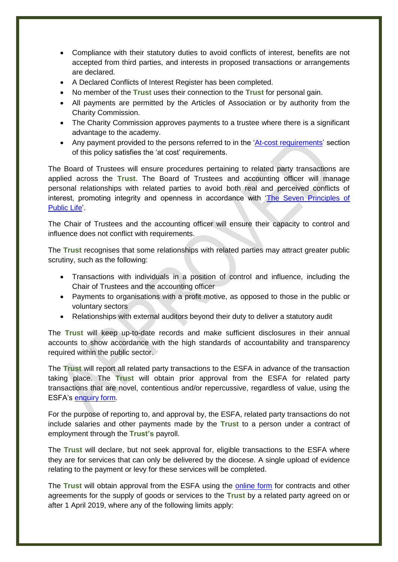- Compliance with their statutory duties to avoid conflicts of interest, benefits are not accepted from third parties, and interests in proposed transactions or arrangements are declared.
- A Declared Conflicts of Interest Register has been completed.
- No member of the **Trust** uses their connection to the **Trust** for personal gain.
- All payments are permitted by the Articles of Association or by authority from the Charity Commission.
- The Charity Commission approves payments to a trustee where there is a significant advantage to the academy.
- Any payment provided to the persons referred to in the ['At-cost requirements'](#page-16-0) section of this policy satisfies the 'at cost' requirements.

The Board of Trustees will ensure procedures pertaining to related party transactions are applied across the **Trust**. The Board of Trustees and accounting officer will manage personal relationships with related parties to avoid both real and perceived conflicts of interest, promoting integrity and openness in accordance with 'The Seven [Principles of](https://www.gov.uk/government/publications/the-7-principles-of-public-life)  [Public Life'](https://www.gov.uk/government/publications/the-7-principles-of-public-life).

The Chair of Trustees and the accounting officer will ensure their capacity to control and influence does not conflict with requirements.

The **Trust** recognises that some relationships with related parties may attract greater public scrutiny, such as the following:

- Transactions with individuals in a position of control and influence, including the Chair of Trustees and the accounting officer
- Payments to organisations with a profit motive, as opposed to those in the public or voluntary sectors
- Relationships with external auditors beyond their duty to deliver a statutory audit

The **Trust** will keep up-to-date records and make sufficient disclosures in their annual accounts to show accordance with the high standards of accountability and transparency required within the public sector.

The **Trust** will report all related party transactions to the ESFA in advance of the transaction taking place. The **Trust** will obtain prior approval from the ESFA for related party transactions that are novel, contentious and/or repercussive, regardless of value, using the ESFA's [enquiry form.](https://form.education.gov.uk/en/AchieveForms/?form_uri=sandbox-publish://AF-Process-f9f4f5a1-936f-448b-bbeb-9dcdd595f468/AF-Stage-8aa41278-3cdd-45a3-ad87-80cbffb8b992/definition.json&redirectlink=%2Fen&cancelRedirectLink=%2Fen)

For the purpose of reporting to, and approval by, the ESFA, related party transactions do not include salaries and other payments made by the **Trust** to a person under a contract of employment through the **Trust's** payroll.

The **Trust** will declare, but not seek approval for, eligible transactions to the ESFA where they are for services that can only be delivered by the diocese. A single upload of evidence relating to the payment or levy for these services will be completed.

The **Trust** will obtain approval from the ESFA using the [online form](https://onlinecollections.des.fasst.org.uk/onlinecollections/) for contracts and other agreements for the supply of goods or services to the **Trust** by a related party agreed on or after 1 April 2019, where any of the following limits apply: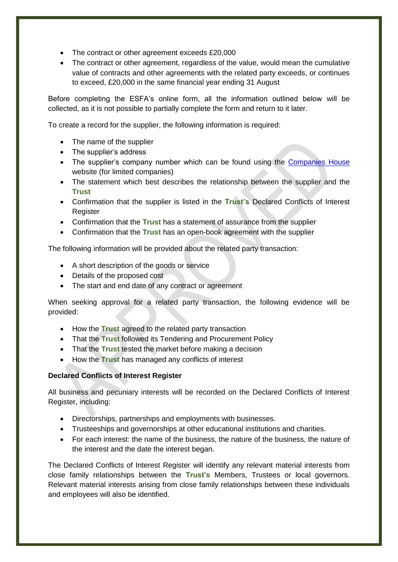- The contract or other agreement exceeds £20,000
- The contract or other agreement, regardless of the value, would mean the cumulative value of contracts and other agreements with the related party exceeds, or continues to exceed, £20,000 in the same financial year ending 31 August

Before completing the ESFA's online form, all the information outlined below will be collected, as it is not possible to partially complete the form and return to it later.

To create a record for the supplier, the following information is required:

- The name of the supplier
- The supplier's address
- The supplier's company number which can be found using the [Companies House](https://beta.companieshouse.gov.uk/) website (for limited companies)
- The statement which best describes the relationship between the supplier and the **Trust**
- Confirmation that the supplier is listed in the **Trust's** Declared Conflicts of Interest Register
- Confirmation that the **Trust** has a statement of assurance from the supplier
- Confirmation that the **Trust** has an open-book agreement with the supplier

The following information will be provided about the related party transaction:

- A short description of the goods or service
- Details of the proposed cost
- The start and end date of any contract or agreement

When seeking approval for a related party transaction, the following evidence will be provided:

- How the **Trust** agreed to the related party transaction
- That the **Trust** followed its Tendering and Procurement Policy
- That the **Trust** tested the market before making a decision
- How the **Trust** has managed any conflicts of interest

#### **Declared Conflicts of Interest Register**

All business and pecuniary interests will be recorded on the Declared Conflicts of Interest Register, including:

- Directorships, partnerships and employments with businesses.
- Trusteeships and governorships at other educational institutions and charities.
- For each interest: the name of the business, the nature of the business, the nature of the interest and the date the interest began.

The Declared Conflicts of Interest Register will identify any relevant material interests from close family relationships between the **Trust's** Members, Trustees or local governors. Relevant material interests arising from close family relationships between these individuals and employees will also be identified.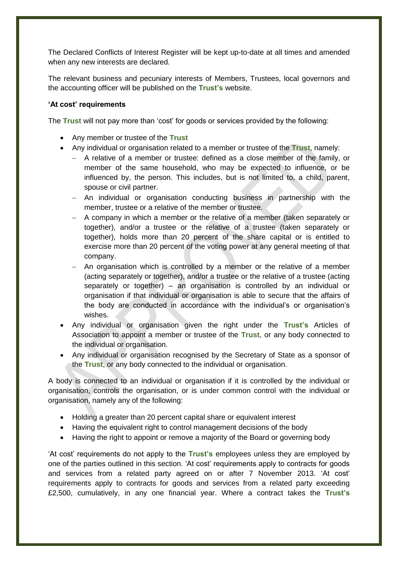The Declared Conflicts of Interest Register will be kept up-to-date at all times and amended when any new interests are declared.

The relevant business and pecuniary interests of Members, Trustees, local governors and the accounting officer will be published on the **Trust's** website.

#### <span id="page-16-0"></span>**'At cost' requirements**

The **Trust** will not pay more than 'cost' for goods or services provided by the following:

- Any member or trustee of the **Trust**
- Any individual or organisation related to a member or trustee of the **Trust**, namely:
	- A relative of a member or trustee: defined as a close member of the family, or member of the same household, who may be expected to influence, or be influenced by, the person. This includes, but is not limited to, a child, parent, spouse or civil partner.
	- An individual or organisation conducting business in partnership with the member, trustee or a relative of the member or trustee.
	- A company in which a member or the relative of a member (taken separately or together), and/or a trustee or the relative of a trustee (taken separately or together), holds more than 20 percent of the share capital or is entitled to exercise more than 20 percent of the voting power at any general meeting of that company.
	- An organisation which is controlled by a member or the relative of a member (acting separately or together), and/or a trustee or the relative of a trustee (acting separately or together) – an organisation is controlled by an individual or organisation if that individual or organisation is able to secure that the affairs of the body are conducted in accordance with the individual's or organisation's wishes.
- Any individual or organisation given the right under the **Trust's** Articles of Association to appoint a member or trustee of the **Trust**, or any body connected to the individual or organisation.
- Any individual or organisation recognised by the Secretary of State as a sponsor of the **Trust**, or any body connected to the individual or organisation.

A body is connected to an individual or organisation if it is controlled by the individual or organisation, controls the organisation, or is under common control with the individual or organisation, namely any of the following:

- Holding a greater than 20 percent capital share or equivalent interest
- Having the equivalent right to control management decisions of the body
- Having the right to appoint or remove a majority of the Board or governing body

'At cost' requirements do not apply to the **Trust's** employees unless they are employed by one of the parties outlined in this section. 'At cost' requirements apply to contracts for goods and services from a related party agreed on or after 7 November 2013. 'At cost' requirements apply to contracts for goods and services from a related party exceeding £2,500, cumulatively, in any one financial year. Where a contract takes the **Trust's**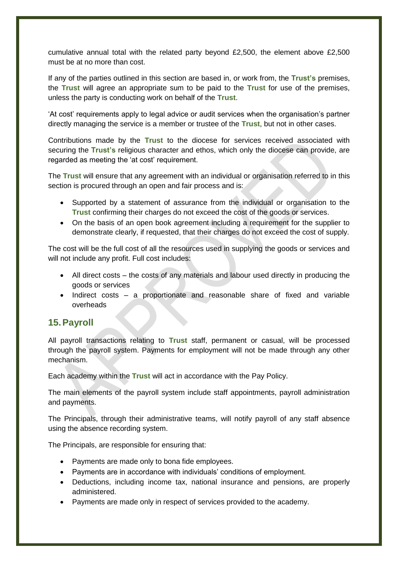cumulative annual total with the related party beyond £2,500, the element above £2,500 must be at no more than cost.

If any of the parties outlined in this section are based in, or work from, the **Trust's** premises, the **Trust** will agree an appropriate sum to be paid to the **Trust** for use of the premises, unless the party is conducting work on behalf of the **Trust**.

'At cost' requirements apply to legal advice or audit services when the organisation's partner directly managing the service is a member or trustee of the **Trust**, but not in other cases.

Contributions made by the **Trust** to the diocese for services received associated with securing the **Trust's** religious character and ethos, which only the diocese can provide, are regarded as meeting the 'at cost' requirement.

The **Trust** will ensure that any agreement with an individual or organisation referred to in this section is procured through an open and fair process and is:

- Supported by a statement of assurance from the individual or organisation to the **Trust** confirming their charges do not exceed the cost of the goods or services.
- On the basis of an open book agreement including a requirement for the supplier to demonstrate clearly, if requested, that their charges do not exceed the cost of supply.

The cost will be the full cost of all the resources used in supplying the goods or services and will not include any profit. Full cost includes:

- All direct costs the costs of any materials and labour used directly in producing the goods or services
- Indirect costs a proportionate and reasonable share of fixed and variable overheads

## <span id="page-17-0"></span>**15.Payroll**

All payroll transactions relating to **Trust** staff, permanent or casual, will be processed through the payroll system. Payments for employment will not be made through any other mechanism.

Each academy within the **Trust** will act in accordance with the Pay Policy.

The main elements of the payroll system include staff appointments, payroll administration and payments.

The Principals, through their administrative teams, will notify payroll of any staff absence using the absence recording system.

The Principals, are responsible for ensuring that:

- Payments are made only to bona fide employees.
- Payments are in accordance with individuals' conditions of employment.
- Deductions, including income tax, national insurance and pensions, are properly administered.
- Payments are made only in respect of services provided to the academy.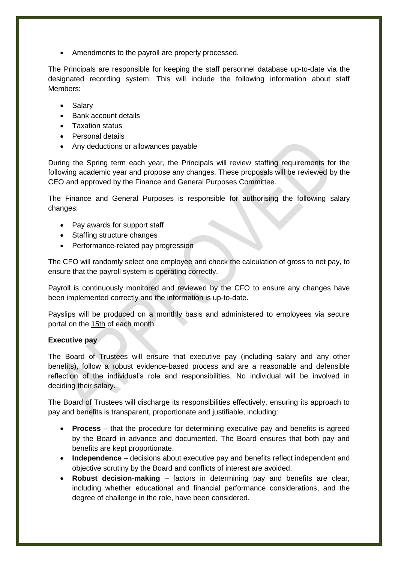• Amendments to the payroll are properly processed.

The Principals are responsible for keeping the staff personnel database up-to-date via the designated recording system. This will include the following information about staff Members:

- Salary
- Bank account details
- Taxation status
- Personal details
- Any deductions or allowances payable

During the Spring term each year, the Principals will review staffing requirements for the following academic year and propose any changes. These proposals will be reviewed by the CEO and approved by the Finance and General Purposes Committee.

The Finance and General Purposes is responsible for authorising the following salary changes:

- Pay awards for support staff
- Staffing structure changes
- Performance-related pay progression

The CFO will randomly select one employee and check the calculation of gross to net pay, to ensure that the payroll system is operating correctly.

Payroll is continuously monitored and reviewed by the CFO to ensure any changes have been implemented correctly and the information is up-to-date.

Payslips will be produced on a monthly basis and administered to employees via secure portal on the 15th of each month.

#### **Executive pay**

The Board of Trustees will ensure that executive pay (including salary and any other benefits), follow a robust evidence-based process and are a reasonable and defensible reflection of the individual's role and responsibilities. No individual will be involved in deciding their salary.

The Board of Trustees will discharge its responsibilities effectively, ensuring its approach to pay and benefits is transparent, proportionate and justifiable, including:

- **Process**  that the procedure for determining executive pay and benefits is agreed by the Board in advance and documented. The Board ensures that both pay and benefits are kept proportionate.
- **Independence**  decisions about executive pay and benefits reflect independent and objective scrutiny by the Board and conflicts of interest are avoided.
- **Robust decision-making** factors in determining pay and benefits are clear, including whether educational and financial performance considerations, and the degree of challenge in the role, have been considered.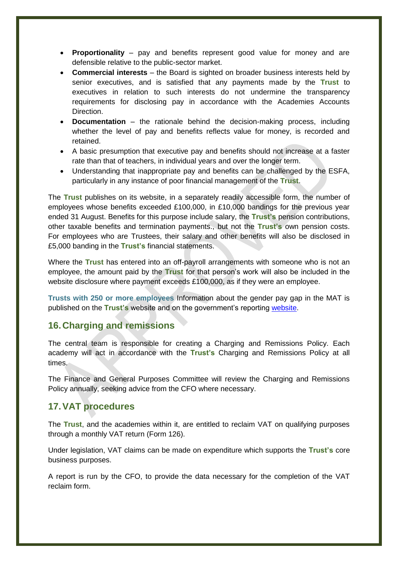- **Proportionality** pay and benefits represent good value for money and are defensible relative to the public-sector market.
- **Commercial interests** the Board is sighted on broader business interests held by senior executives, and is satisfied that any payments made by the **Trust** to executives in relation to such interests do not undermine the transparency requirements for disclosing pay in accordance with the Academies Accounts Direction.
- **Documentation** the rationale behind the decision-making process, including whether the level of pay and benefits reflects value for money, is recorded and retained.
- A basic presumption that executive pay and benefits should not increase at a faster rate than that of teachers, in individual years and over the longer term.
- Understanding that inappropriate pay and benefits can be challenged by the ESFA, particularly in any instance of poor financial management of the **Trust**.

The **Trust** publishes on its website, in a separately readily accessible form, the number of employees whose benefits exceeded £100,000, in £10,000 bandings for the previous year ended 31 August. Benefits for this purpose include salary, the **Trust's** pension contributions, other taxable benefits and termination payments., but not the **Trust's** own pension costs. For employees who are Trustees, their salary and other benefits will also be disclosed in £5,000 banding in the **Trust's** financial statements.

Where the **Trust** has entered into an off-payroll arrangements with someone who is not an employee, the amount paid by the **Trust** for that person's work will also be included in the website disclosure where payment exceeds £100,000, as if they were an employee.

**Trusts with 250 or more employees** Information about the gender pay gap in the MAT is published on the **Trust's** website and on the government's reporting [website.](https://www.gov.uk/report-gender-pay-gap-data)

## <span id="page-19-0"></span>**16.Charging and remissions**

The central team is responsible for creating a Charging and Remissions Policy. Each academy will act in accordance with the **Trust's** Charging and Remissions Policy at all times.

The Finance and General Purposes Committee will review the Charging and Remissions Policy annually, seeking advice from the CFO where necessary.

## <span id="page-19-1"></span>**17.VAT procedures**

The **Trust**, and the academies within it, are entitled to reclaim VAT on qualifying purposes through a monthly VAT return (Form 126).

Under legislation, VAT claims can be made on expenditure which supports the **Trust's** core business purposes.

A report is run by the CFO, to provide the data necessary for the completion of the VAT reclaim form.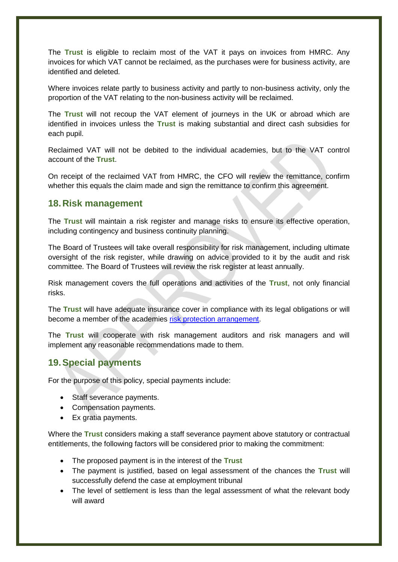The **Trust** is eligible to reclaim most of the VAT it pays on invoices from HMRC. Any invoices for which VAT cannot be reclaimed, as the purchases were for business activity, are identified and deleted.

Where invoices relate partly to business activity and partly to non-business activity, only the proportion of the VAT relating to the non-business activity will be reclaimed.

The **Trust** will not recoup the VAT element of journeys in the UK or abroad which are identified in invoices unless the **Trust** is making substantial and direct cash subsidies for each pupil.

Reclaimed VAT will not be debited to the individual academies, but to the VAT control account of the **Trust**.

On receipt of the reclaimed VAT from HMRC, the CFO will review the remittance, confirm whether this equals the claim made and sign the remittance to confirm this agreement.

#### <span id="page-20-0"></span>**18.Risk management**

The **Trust** will maintain a risk register and manage risks to ensure its effective operation, including contingency and business continuity planning.

The Board of Trustees will take overall responsibility for risk management, including ultimate oversight of the risk register, while drawing on advice provided to it by the audit and risk committee. The Board of Trustees will review the risk register at least annually.

Risk management covers the full operations and activities of the **Trust**, not only financial risks.

The **Trust** will have adequate insurance cover in compliance with its legal obligations or will become a member of the academies [risk protection arrangement.](https://www.gov.uk/guidance/academies-risk-protection-arrangement-rpa)

The **Trust** will cooperate with risk management auditors and risk managers and will implement any reasonable recommendations made to them.

## <span id="page-20-1"></span>**19.Special payments**

For the purpose of this policy, special payments include:

- Staff severance payments.
- Compensation payments.
- Ex gratia payments.

Where the **Trust** considers making a staff severance payment above statutory or contractual entitlements, the following factors will be considered prior to making the commitment:

- The proposed payment is in the interest of the **Trust**
- The payment is justified, based on legal assessment of the chances the **Trust** will successfully defend the case at employment tribunal
- The level of settlement is less than the legal assessment of what the relevant body will award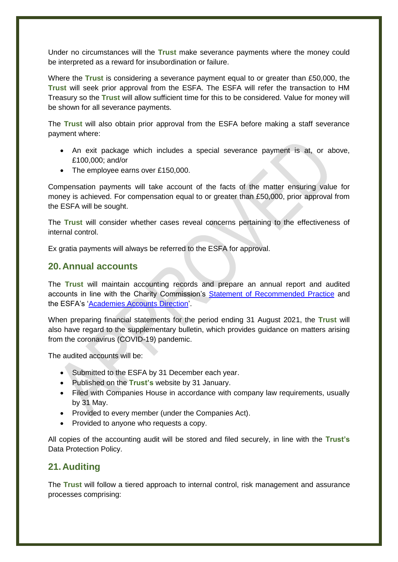Under no circumstances will the **Trust** make severance payments where the money could be interpreted as a reward for insubordination or failure.

Where the **Trust** is considering a severance payment equal to or greater than £50,000, the **Trust** will seek prior approval from the ESFA. The ESFA will refer the transaction to HM Treasury so the **Trust** will allow sufficient time for this to be considered. Value for money will be shown for all severance payments.

The **Trust** will also obtain prior approval from the ESFA before making a staff severance payment where:

- An exit package which includes a special severance payment is at, or above, £100,000; and/or
- The employee earns over £150,000.

Compensation payments will take account of the facts of the matter ensuring value for money is achieved. For compensation equal to or greater than £50,000, prior approval from the ESFA will be sought.

The **Trust** will consider whether cases reveal concerns pertaining to the effectiveness of internal control.

Ex gratia payments will always be referred to the ESFA for approval.

## <span id="page-21-0"></span>**20.Annual accounts**

The **Trust** will maintain accounting records and prepare an annual report and audited accounts in line with the Charity Commission's **Statement of Recommended Practice** and the ESFA's ['Academies Accounts Direction'](https://www.gov.uk/guidance/academies-accounts-direction).

When preparing financial statements for the period ending 31 August 2021, the **Trust** will also have regard to the supplementary bulletin, which provides guidance on matters arising from the coronavirus (COVID-19) pandemic.

The audited accounts will be:

- Submitted to the ESFA by 31 December each year.
- Published on the **Trust's** website by 31 January.
- Filed with Companies House in accordance with company law requirements, usually by 31 May.
- Provided to every member (under the Companies Act).
- Provided to anyone who requests a copy.

All copies of the accounting audit will be stored and filed securely, in line with the **Trust's** Data Protection Policy.

## <span id="page-21-1"></span>**21.Auditing**

The **Trust** will follow a tiered approach to internal control, risk management and assurance processes comprising: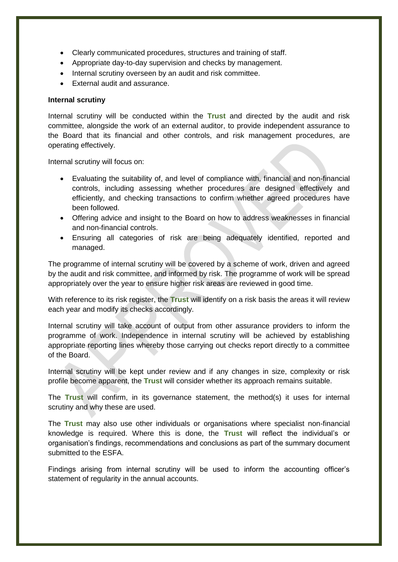- Clearly communicated procedures, structures and training of staff.
- Appropriate day-to-day supervision and checks by management.
- Internal scrutiny overseen by an audit and risk committee.
- External audit and assurance.

#### **Internal scrutiny**

Internal scrutiny will be conducted within the **Trust** and directed by the audit and risk committee, alongside the work of an external auditor, to provide independent assurance to the Board that its financial and other controls, and risk management procedures, are operating effectively.

Internal scrutiny will focus on:

- Evaluating the suitability of, and level of compliance with, financial and non-financial controls, including assessing whether procedures are designed effectively and efficiently, and checking transactions to confirm whether agreed procedures have been followed.
- Offering advice and insight to the Board on how to address weaknesses in financial and non-financial controls.
- Ensuring all categories of risk are being adequately identified, reported and managed.

The programme of internal scrutiny will be covered by a scheme of work, driven and agreed by the audit and risk committee, and informed by risk. The programme of work will be spread appropriately over the year to ensure higher risk areas are reviewed in good time.

With reference to its risk register, the **Trust** will identify on a risk basis the areas it will review each year and modify its checks accordingly.

Internal scrutiny will take account of output from other assurance providers to inform the programme of work. Independence in internal scrutiny will be achieved by establishing appropriate reporting lines whereby those carrying out checks report directly to a committee of the Board.

Internal scrutiny will be kept under review and if any changes in size, complexity or risk profile become apparent, the **Trust** will consider whether its approach remains suitable.

The **Trust** will confirm, in its governance statement, the method(s) it uses for internal scrutiny and why these are used.

The **Trust** may also use other individuals or organisations where specialist non-financial knowledge is required. Where this is done, the **Trust** will reflect the individual's or organisation's findings, recommendations and conclusions as part of the summary document submitted to the ESFA.

Findings arising from internal scrutiny will be used to inform the accounting officer's statement of regularity in the annual accounts.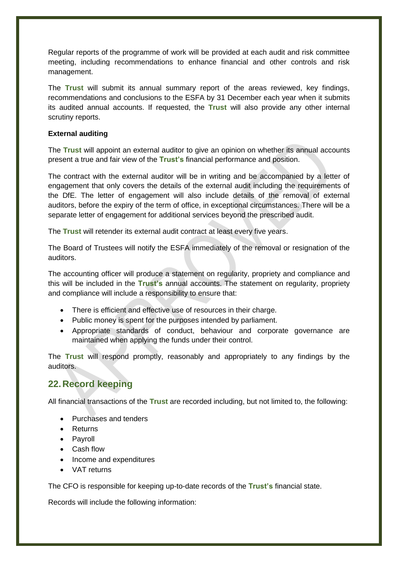Regular reports of the programme of work will be provided at each audit and risk committee meeting, including recommendations to enhance financial and other controls and risk management.

The **Trust** will submit its annual summary report of the areas reviewed, key findings, recommendations and conclusions to the ESFA by 31 December each year when it submits its audited annual accounts. If requested, the **Trust** will also provide any other internal scrutiny reports.

#### **External auditing**

The **Trust** will appoint an external auditor to give an opinion on whether its annual accounts present a true and fair view of the **Trust's** financial performance and position.

The contract with the external auditor will be in writing and be accompanied by a letter of engagement that only covers the details of the external audit including the requirements of the DfE. The letter of engagement will also include details of the removal of external auditors, before the expiry of the term of office, in exceptional circumstances. There will be a separate letter of engagement for additional services beyond the prescribed audit.

The **Trust** will retender its external audit contract at least every five years.

The Board of Trustees will notify the ESFA immediately of the removal or resignation of the auditors.

The accounting officer will produce a statement on regularity, propriety and compliance and this will be included in the **Trust's** annual accounts. The statement on regularity, propriety and compliance will include a responsibility to ensure that:

- There is efficient and effective use of resources in their charge.
- Public money is spent for the purposes intended by parliament.
- Appropriate standards of conduct, behaviour and corporate governance are maintained when applying the funds under their control.

The **Trust** will respond promptly, reasonably and appropriately to any findings by the auditors.

# <span id="page-23-0"></span>**22.Record keeping**

All financial transactions of the **Trust** are recorded including, but not limited to, the following:

- Purchases and tenders
- Returns
- Payroll
- Cash flow
- Income and expenditures
- VAT returns

The CFO is responsible for keeping up-to-date records of the **Trust's** financial state.

Records will include the following information: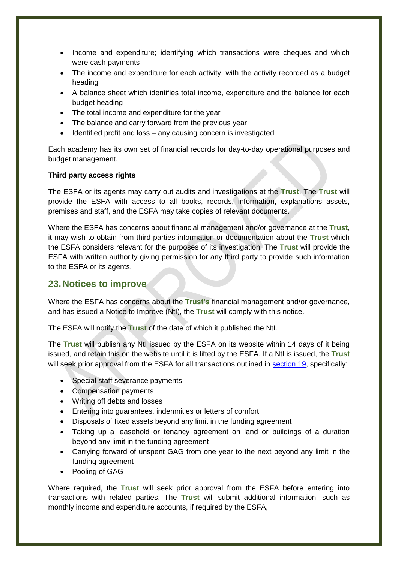- Income and expenditure; identifying which transactions were cheques and which were cash payments
- The income and expenditure for each activity, with the activity recorded as a budget heading
- A balance sheet which identifies total income, expenditure and the balance for each budget heading
- The total income and expenditure for the year
- The balance and carry forward from the previous vear
- Identified profit and loss any causing concern is investigated

Each academy has its own set of financial records for day-to-day operational purposes and budget management.

#### **Third party access rights**

The ESFA or its agents may carry out audits and investigations at the **Trust**. The **Trust** will provide the ESFA with access to all books, records, information, explanations assets, premises and staff, and the ESFA may take copies of relevant documents.

Where the ESFA has concerns about financial management and/or governance at the **Trust**, it may wish to obtain from third parties information or documentation about the **Trust** which the ESFA considers relevant for the purposes of its investigation. The **Trust** will provide the ESFA with written authority giving permission for any third party to provide such information to the ESFA or its agents.

## <span id="page-24-0"></span>**23.Notices to improve**

Where the ESFA has concerns about the **Trust's** financial management and/or governance, and has issued a Notice to Improve (NtI), the **Trust** will comply with this notice.

The ESFA will notify the **Trust** of the date of which it published the NtI.

The **Trust** will publish any NtI issued by the ESFA on its website within 14 days of it being issued, and retain this on the website until it is lifted by the ESFA. If a NtI is issued, the **Trust** will seek prior approval from the ESFA for all transactions outlined in [section 19,](#page-20-1) specifically:

- Special staff severance payments
- Compensation payments
- Writing off debts and losses
- Entering into guarantees, indemnities or letters of comfort
- Disposals of fixed assets beyond any limit in the funding agreement
- Taking up a leasehold or tenancy agreement on land or buildings of a duration beyond any limit in the funding agreement
- Carrying forward of unspent GAG from one year to the next beyond any limit in the funding agreement
- Pooling of GAG

Where required, the **Trust** will seek prior approval from the ESFA before entering into transactions with related parties. The **Trust** will submit additional information, such as monthly income and expenditure accounts, if required by the ESFA,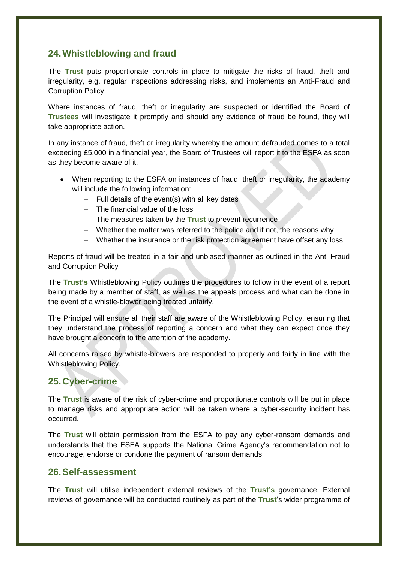## <span id="page-25-0"></span>**24.Whistleblowing and fraud**

The **Trust** puts proportionate controls in place to mitigate the risks of fraud, theft and irregularity, e.g. regular inspections addressing risks, and implements an Anti-Fraud and Corruption Policy.

Where instances of fraud, theft or irregularity are suspected or identified the Board of **Trustees** will investigate it promptly and should any evidence of fraud be found, they will take appropriate action.

In any instance of fraud, theft or irregularity whereby the amount defrauded comes to a total exceeding £5,000 in a financial year, the Board of Trustees will report it to the ESFA as soon as they become aware of it.

- When reporting to the ESFA on instances of fraud, theft or irregularity, the academy will include the following information:
	- $-$  Full details of the event(s) with all key dates
	- The financial value of the loss
	- The measures taken by the **Trust** to prevent recurrence
	- Whether the matter was referred to the police and if not, the reasons why
	- Whether the insurance or the risk protection agreement have offset any loss

Reports of fraud will be treated in a fair and unbiased manner as outlined in the Anti-Fraud and Corruption Policy

The **Trust's** Whistleblowing Policy outlines the procedures to follow in the event of a report being made by a member of staff, as well as the appeals process and what can be done in the event of a whistle-blower being treated unfairly.

The Principal will ensure all their staff are aware of the Whistleblowing Policy, ensuring that they understand the process of reporting a concern and what they can expect once they have brought a concern to the attention of the academy.

All concerns raised by whistle-blowers are responded to properly and fairly in line with the Whistleblowing Policy.

## <span id="page-25-1"></span>**25.Cyber-crime**

The **Trust** is aware of the risk of cyber-crime and proportionate controls will be put in place to manage risks and appropriate action will be taken where a cyber-security incident has occurred.

The **Trust** will obtain permission from the ESFA to pay any cyber-ransom demands and understands that the ESFA supports the National Crime Agency's recommendation not to encourage, endorse or condone the payment of ransom demands.

## <span id="page-25-2"></span>**26.Self-assessment**

The **Trust** will utilise independent external reviews of the **Trust's** governance. External reviews of governance will be conducted routinely as part of the **Trust**'s wider programme of